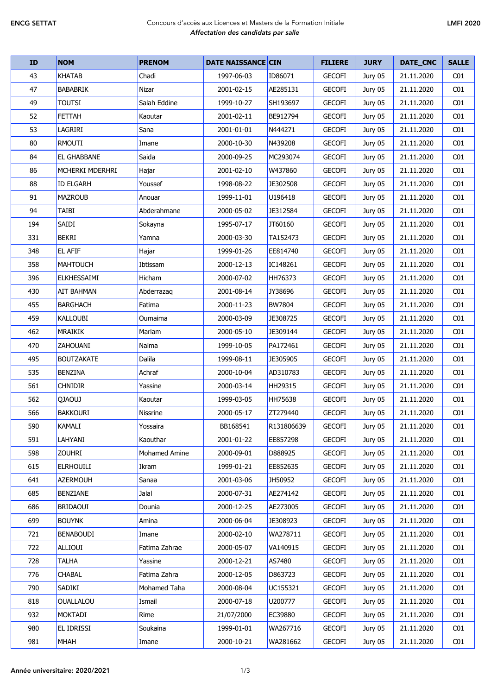## ENCG SETTAT Concours d'accès aux Licences et Masters de la Formation Initiale *Affectation des candidats par salle*

| <b>ID</b> | <b>NOM</b>         | <b>PRENOM</b> | <b>DATE NAISSANCE CIN</b> |                | <b>FILIERE</b> | <b>JURY</b> | DATE_CNC   | <b>SALLE</b>    |
|-----------|--------------------|---------------|---------------------------|----------------|----------------|-------------|------------|-----------------|
| 43        | <b>KHATAB</b>      | Chadi         | 1997-06-03                | ID86071        | <b>GECOFI</b>  | Jury 05     | 21.11.2020 | CO <sub>1</sub> |
| 47        | <b>BABABRIK</b>    | Nizar         | 2001-02-15                | AE285131       | <b>GECOFI</b>  | Jury 05     | 21.11.2020 | CO <sub>1</sub> |
| 49        | <b>TOUTSI</b>      | Salah Eddine  | 1999-10-27                | SH193697       | <b>GECOFI</b>  | Jury 05     | 21.11.2020 | CO <sub>1</sub> |
| 52        | <b>FETTAH</b>      | Kaoutar       | 2001-02-11                | BE912794       | <b>GECOFI</b>  | Jury 05     | 21.11.2020 | CO <sub>1</sub> |
| 53        | LAGRIRI            | Sana          | 2001-01-01                | N444271        | <b>GECOFI</b>  | Jury 05     | 21.11.2020 | CO <sub>1</sub> |
| 80        | RMOUTI             | Imane         | 2000-10-30                | N439208        | <b>GECOFI</b>  | Jury 05     | 21.11.2020 | CO <sub>1</sub> |
| 84        | <b>EL GHABBANE</b> | Saida         | 2000-09-25                | MC293074       | <b>GECOFI</b>  | Jury 05     | 21.11.2020 | CO <sub>1</sub> |
| 86        | MCHERKI MDERHRI    | Hajar         | 2001-02-10                | W437860        | <b>GECOFI</b>  | Jury 05     | 21.11.2020 | CO <sub>1</sub> |
| 88        | <b>ID ELGARH</b>   | Youssef       | 1998-08-22                | JE302508       | <b>GECOFI</b>  | Jury 05     | 21.11.2020 | CO <sub>1</sub> |
| 91        | <b>MAZROUB</b>     | Anouar        | 1999-11-01                | U196418        | <b>GECOFI</b>  | Jury 05     | 21.11.2020 | CO <sub>1</sub> |
| 94        | TAIBI              | Abderahmane   | 2000-05-02                | JE312584       | <b>GECOFI</b>  | Jury 05     | 21.11.2020 | CO <sub>1</sub> |
| 194       | SAIDI              | Sokayna       | 1995-07-17                | JT60160        | <b>GECOFI</b>  | Jury 05     | 21.11.2020 | CO <sub>1</sub> |
| 331       | <b>BEKRI</b>       | Yamna         | 2000-03-30                | TA152473       | <b>GECOFI</b>  | Jury 05     | 21.11.2020 | CO <sub>1</sub> |
| 348       | <b>EL AFIF</b>     | Hajar         | 1999-01-26                | EE814740       | <b>GECOFI</b>  | Jury 05     | 21.11.2020 | CO <sub>1</sub> |
| 358       | <b>MAHTOUCH</b>    | Ibtissam      | 2000-12-13                | IC148261       | <b>GECOFI</b>  | Jury 05     | 21.11.2020 | CO <sub>1</sub> |
| 396       | ELKHESSAIMI        | Hicham        | 2000-07-02                | HH76373        | <b>GECOFI</b>  | Jury 05     | 21.11.2020 | CO <sub>1</sub> |
| 430       | AIT BAHMAN         | Abderrazaq    | 2001-08-14                | JY38696        | <b>GECOFI</b>  | Jury 05     | 21.11.2020 | CO <sub>1</sub> |
| 455       | <b>BARGHACH</b>    | Fatima        | 2000-11-23                | <b>BW7804</b>  | <b>GECOFI</b>  | Jury 05     | 21.11.2020 | CO <sub>1</sub> |
| 459       | KALLOUBI           | Oumaima       | 2000-03-09                | JE308725       | <b>GECOFI</b>  | Jury 05     | 21.11.2020 | CO <sub>1</sub> |
| 462       | <b>MRAIKIK</b>     | Mariam        | 2000-05-10                | JE309144       | <b>GECOFI</b>  | Jury 05     | 21.11.2020 | CO <sub>1</sub> |
| 470       | ZAHOUANI           | Naima         | 1999-10-05                | PA172461       | <b>GECOFI</b>  | Jury 05     | 21.11.2020 | CO <sub>1</sub> |
| 495       | <b>BOUTZAKATE</b>  | <b>Dalila</b> | 1999-08-11                | JE305905       | <b>GECOFI</b>  | Jury 05     | 21.11.2020 | CO <sub>1</sub> |
| 535       | <b>BENZINA</b>     | Achraf        | 2000-10-04                | AD310783       | <b>GECOFI</b>  | Jury 05     | 21.11.2020 | CO <sub>1</sub> |
| 561       | <b>CHNIDIR</b>     | Yassine       | 2000-03-14                | HH29315        | <b>GECOFI</b>  | Jury 05     | 21.11.2020 | CO <sub>1</sub> |
| 562       | <b>UJAOUJ</b>      | Kaoutar       | 1999-03-05                | <b>HH75638</b> | <b>GECOFI</b>  | Jury 05     | 21.11.2020 | CO <sub>1</sub> |
| 566       | <b>BAKKOURI</b>    | Nissrine      | 2000-05-17                | ZT279440       | <b>GECOFI</b>  | Jury 05     | 21.11.2020 | CO <sub>1</sub> |
| 590       | KAMALI             | Yossaira      | BB168541                  | R131806639     | <b>GECOFI</b>  | Jury 05     | 21.11.2020 | CO <sub>1</sub> |
| 591       | LAHYANI            | Kaouthar      | 2001-01-22                | EE857298       | <b>GECOFI</b>  | Jury 05     | 21.11.2020 | CO1             |
| 598       | <b>ZOUHRI</b>      | Mohamed Amine | 2000-09-01                | D888925        | <b>GECOFI</b>  | Jury 05     | 21.11.2020 | CO <sub>1</sub> |
| 615       | <b>ELRHOUILI</b>   | Ikram         | 1999-01-21                | EE852635       | <b>GECOFI</b>  | Jury 05     | 21.11.2020 | CO1             |
| 641       | <b>AZERMOUH</b>    | Sanaa         | 2001-03-06                | JH50952        | <b>GECOFI</b>  | Jury 05     | 21.11.2020 | CO1             |
| 685       | <b>BENZIANE</b>    | Jalal         | 2000-07-31                | AE274142       | <b>GECOFI</b>  | Jury 05     | 21.11.2020 | CO <sub>1</sub> |
| 686       | <b>BRIDAOUI</b>    | Dounia        | 2000-12-25                | AE273005       | <b>GECOFI</b>  | Jury 05     | 21.11.2020 | CO <sub>1</sub> |
| 699       | <b>BOUYNK</b>      | Amina         | 2000-06-04                | JE308923       | <b>GECOFI</b>  | Jury 05     | 21.11.2020 | CO <sub>1</sub> |
| 721       | <b>BENABOUDI</b>   | Imane         | 2000-02-10                | WA278711       | <b>GECOFI</b>  | Jury 05     | 21.11.2020 | CO <sub>1</sub> |
| 722       | ALLIOUI            | Fatima Zahrae | 2000-05-07                | VA140915       | <b>GECOFI</b>  | Jury 05     | 21.11.2020 | CO <sub>1</sub> |
| 728       | TALHA              | Yassine       | 2000-12-21                | AS7480         | <b>GECOFI</b>  | Jury 05     | 21.11.2020 | CO <sub>1</sub> |
| 776       | <b>CHABAL</b>      | Fatima Zahra  | 2000-12-05                | D863723        | <b>GECOFI</b>  | Jury 05     | 21.11.2020 | CO1             |
| 790       | SADIKI             | Mohamed Taha  | 2000-08-04                | UC155321       | <b>GECOFI</b>  | Jury 05     | 21.11.2020 | CO <sub>1</sub> |
| 818       | <b>OUALLALOU</b>   | Ismail        | 2000-07-18                | U200777        | <b>GECOFI</b>  | Jury 05     | 21.11.2020 | CO <sub>1</sub> |
| 932       | <b>MOKTADI</b>     | Rime          | 21/07/2000                | EC39880        | <b>GECOFI</b>  | Jury 05     | 21.11.2020 | CO1             |
| 980       | el Idrissi         | Soukaina      | 1999-01-01                | WA267716       | <b>GECOFI</b>  | Jury 05     | 21.11.2020 | C <sub>01</sub> |
| 981       | <b>MHAH</b>        | Imane         | 2000-10-21                | WA281662       | <b>GECOFI</b>  | Jury 05     | 21.11.2020 | CO <sub>1</sub> |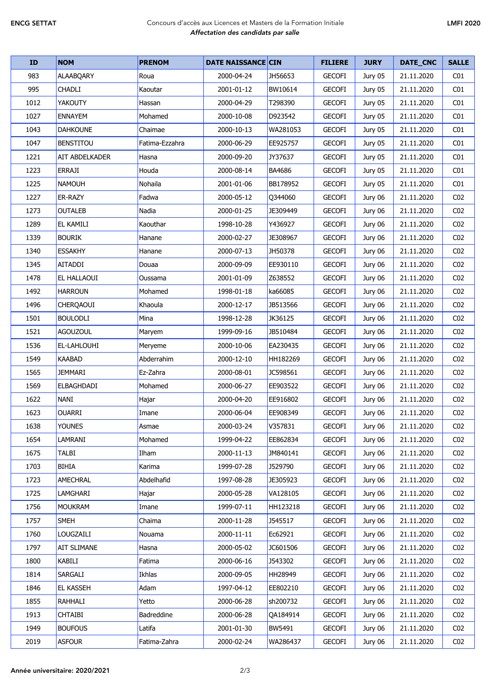## ENCG SETTAT Concours d'accès aux Licences et Masters de la Formation Initiale *Affectation des candidats par salle*

| ID   | <b>NOM</b>         | <b>PRENOM</b>  | <b>DATE NAISSANCE CIN</b> |          | <b>FILIERE</b> | <b>JURY</b> | DATE_CNC   | <b>SALLE</b>    |
|------|--------------------|----------------|---------------------------|----------|----------------|-------------|------------|-----------------|
| 983  | <b>ALAABQARY</b>   | Roua           | 2000-04-24                | JH56653  | <b>GECOFI</b>  | Jury 05     | 21.11.2020 | CO <sub>1</sub> |
| 995  | <b>CHADLI</b>      | Kaoutar        | 2001-01-12                | BW10614  | <b>GECOFI</b>  | Jury 05     | 21.11.2020 | CO <sub>1</sub> |
| 1012 | <b>YAKOUTY</b>     | Hassan         | 2000-04-29                | T298390  | <b>GECOFI</b>  | Jury 05     | 21.11.2020 | CO <sub>1</sub> |
| 1027 | <b>ENNAYEM</b>     | Mohamed        | 2000-10-08                | D923542  | <b>GECOFI</b>  | Jury 05     | 21.11.2020 | CO <sub>1</sub> |
| 1043 | <b>DAHKOUNE</b>    | Chaimae        | 2000-10-13                | WA281053 | <b>GECOFI</b>  | Jury 05     | 21.11.2020 | CO <sub>1</sub> |
| 1047 | <b>BENSTITOU</b>   | Fatima-Ezzahra | 2000-06-29                | EE925757 | <b>GECOFI</b>  | Jury 05     | 21.11.2020 | CO <sub>1</sub> |
| 1221 | AIT ABDELKADER     | Hasna          | 2000-09-20                | JY37637  | <b>GECOFI</b>  | Jury 05     | 21.11.2020 | CO <sub>1</sub> |
| 1223 | <b>ERRAJI</b>      | Houda          | 2000-08-14                | BA4686   | <b>GECOFI</b>  | Jury 05     | 21.11.2020 | CO <sub>1</sub> |
| 1225 | <b>NAMOUH</b>      | Nohaila        | 2001-01-06                | BB178952 | <b>GECOFI</b>  | Jury 05     | 21.11.2020 | CO <sub>1</sub> |
| 1227 | ER-RAZY            | Fadwa          | 2000-05-12                | Q344060  | <b>GECOFI</b>  | Jury 06     | 21.11.2020 | CO <sub>2</sub> |
| 1273 | <b>OUTALEB</b>     | Nadia          | 2000-01-25                | JE309449 | <b>GECOFI</b>  | Jury 06     | 21.11.2020 | CO <sub>2</sub> |
| 1289 | <b>EL KAMILI</b>   | Kaouthar       | 1998-10-28                | Y436927  | <b>GECOFI</b>  | Jury 06     | 21.11.2020 | CO <sub>2</sub> |
| 1339 | <b>BOURIK</b>      | Hanane         | 2000-02-27                | JE308967 | <b>GECOFI</b>  | Jury 06     | 21.11.2020 | CO <sub>2</sub> |
| 1340 | <b>ESSAKHY</b>     | Hanane         | 2000-07-13                | JH50378  | <b>GECOFI</b>  | Jury 06     | 21.11.2020 | CO <sub>2</sub> |
| 1345 | <b>AITADDI</b>     | Douaa          | 2000-09-09                | EE930110 | <b>GECOFI</b>  | Jury 06     | 21.11.2020 | CO <sub>2</sub> |
| 1478 | EL HALLAOUI        | Oussama        | 2001-01-09                | Z638552  | <b>GECOFI</b>  | Jury 06     | 21.11.2020 | CO <sub>2</sub> |
| 1492 | <b>HARROUN</b>     | Mohamed        | 1998-01-18                | ka66085  | <b>GECOFI</b>  | Jury 06     | 21.11.2020 | CO <sub>2</sub> |
| 1496 | <b>CHERQAOUI</b>   | Khaoula        | 2000-12-17                | JB513566 | <b>GECOFI</b>  | Jury 06     | 21.11.2020 | CO <sub>2</sub> |
| 1501 | <b>BOULODLI</b>    | Mina           | 1998-12-28                | JK36125  | <b>GECOFI</b>  | Jury 06     | 21.11.2020 | CO <sub>2</sub> |
| 1521 | <b>AGOUZOUL</b>    | Maryem         | 1999-09-16                | JB510484 | <b>GECOFI</b>  | Jury 06     | 21.11.2020 | CO <sub>2</sub> |
| 1536 | EL-LAHLOUHI        | Meryeme        | 2000-10-06                | EA230435 | <b>GECOFI</b>  | Jury 06     | 21.11.2020 | CO <sub>2</sub> |
| 1549 | <b>KAABAD</b>      | Abderrahim     | 2000-12-10                | HH182269 | <b>GECOFI</b>  | Jury 06     | 21.11.2020 | CO <sub>2</sub> |
| 1565 | JEMMARI            | Ez-Zahra       | 2000-08-01                | JC598561 | <b>GECOFI</b>  | Jury 06     | 21.11.2020 | CO <sub>2</sub> |
| 1569 | ELBAGHDADI         | Mohamed        | 2000-06-27                | EE903522 | <b>GECOFI</b>  | Jury 06     | 21.11.2020 | CO <sub>2</sub> |
| 1622 | <b>NANI</b>        | Hajar          | 2000-04-20                | EE916802 | <b>GECOFI</b>  | Jury 06     | 21.11.2020 | CO <sub>2</sub> |
| 1623 | <b>OUARRI</b>      | Imane          | 2000-06-04                | EE908349 | <b>GECOFI</b>  | Jury 06     | 21.11.2020 | CO <sub>2</sub> |
| 1638 | <b>YOUNES</b>      | Asmae          | 2000-03-24                | V357831  | <b>GECOFI</b>  | Jury 06     | 21.11.2020 | CO <sub>2</sub> |
| 1654 | LAMRANI            | Mohamed        | 1999-04-22                | EE862834 | <b>GECOFI</b>  | Jury 06     | 21.11.2020 | CO <sub>2</sub> |
| 1675 | TALBI              | Ilham          | 2000-11-13                | JM840141 | <b>GECOFI</b>  | Jury 06     | 21.11.2020 | CO <sub>2</sub> |
| 1703 | BIHIA              | Karima         | 1999-07-28                | J529790  | <b>GECOFI</b>  | Jury 06     | 21.11.2020 | CO <sub>2</sub> |
| 1723 | <b>AMECHRAL</b>    | Abdelhafid     | 1997-08-28                | JE305923 | <b>GECOFI</b>  | Jury 06     | 21.11.2020 | CO <sub>2</sub> |
| 1725 | LAMGHARI           | Hajar          | 2000-05-28                | VA128105 | <b>GECOFI</b>  | Jury 06     | 21.11.2020 | CO <sub>2</sub> |
| 1756 | <b>MOUKRAM</b>     | Imane          | 1999-07-11                | HH123218 | <b>GECOFI</b>  | Jury 06     | 21.11.2020 | CO <sub>2</sub> |
| 1757 | <b>SMEH</b>        | Chaima         | 2000-11-28                | J545517  | <b>GECOFI</b>  | Jury 06     | 21.11.2020 | CO <sub>2</sub> |
| 1760 | LOUGZAILI          | Nouama         | 2000-11-11                | Ec62921  | <b>GECOFI</b>  | Jury 06     | 21.11.2020 | CO <sub>2</sub> |
| 1797 | <b>AIT SLIMANE</b> | Hasna          | 2000-05-02                | JC601506 | <b>GECOFI</b>  | Jury 06     | 21.11.2020 | CO <sub>2</sub> |
| 1800 | KABILI             | Fatima         | 2000-06-16                | J543302  | <b>GECOFI</b>  | Jury 06     | 21.11.2020 | CO <sub>2</sub> |
| 1814 | SARGALI            | Ikhlas         | 2000-09-05                | HH28949  | <b>GECOFI</b>  | Jury 06     | 21.11.2020 | CO <sub>2</sub> |
| 1846 | <b>EL KASSEH</b>   | Adam           | 1997-04-12                | EE802210 | <b>GECOFI</b>  | Jury 06     | 21.11.2020 | CO <sub>2</sub> |
| 1855 | RAHHALI            | Yetto          | 2000-06-28                | sh200732 | <b>GECOFI</b>  | Jury 06     | 21.11.2020 | CO <sub>2</sub> |
| 1913 | <b>CHTAIBI</b>     | Badreddine     | 2000-06-28                | QA184914 | <b>GECOFI</b>  | Jury 06     | 21.11.2020 | CO <sub>2</sub> |
| 1949 | <b>BOUFOUS</b>     | Latifa         | 2001-01-30                | BW5491   | <b>GECOFI</b>  | Jury 06     | 21.11.2020 | CO <sub>2</sub> |
| 2019 | <b>ASFOUR</b>      | Fatima-Zahra   | 2000-02-24                | WA286437 | <b>GECOFI</b>  | Jury 06     | 21.11.2020 | CO <sub>2</sub> |